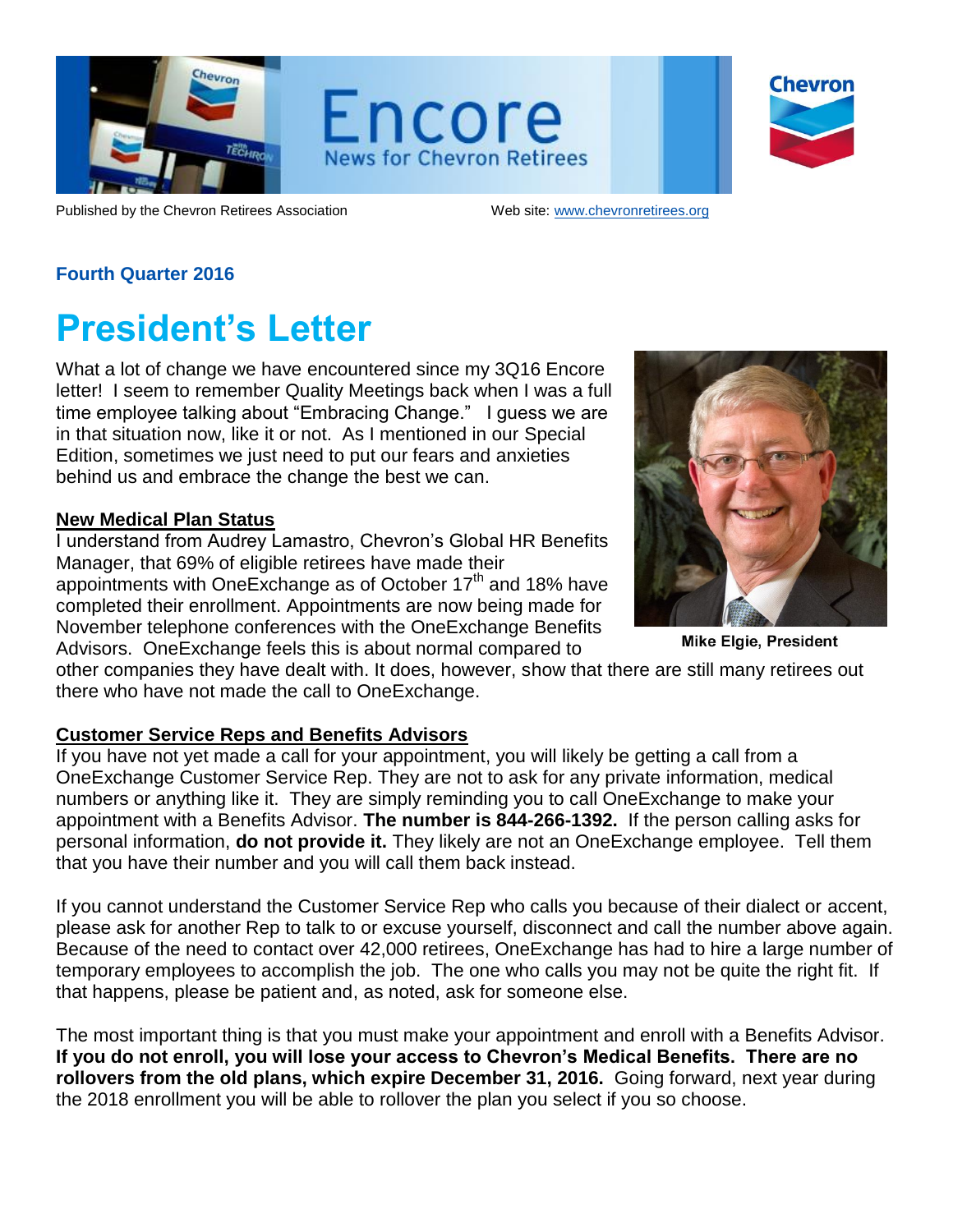

Encore **News for Chevron Retirees** 

Chevron

Published by the Chevron Retirees Association Web site: [www.chevronretirees.org](http://www.chevronretirees.org/)

## **Fourth Quarter 2016**

## **President's Letter**

What a lot of change we have encountered since my 3Q16 Encore letter! I seem to remember Quality Meetings back when I was a full time employee talking about "Embracing Change." I guess we are in that situation now, like it or not. As I mentioned in our Special Edition, sometimes we just need to put our fears and anxieties behind us and embrace the change the best we can.

### **New Medical Plan Status**

I understand from Audrey Lamastro, Chevron's Global HR Benefits Manager, that 69% of eligible retirees have made their appointments with One Exchange as of October  $17<sup>th</sup>$  and 18% have completed their enrollment. Appointments are now being made for November telephone conferences with the OneExchange Benefits Advisors. OneExchange feels this is about normal compared to



**Mike Elgie, President** 

other companies they have dealt with. It does, however, show that there are still many retirees out there who have not made the call to OneExchange.

## **Customer Service Reps and Benefits Advisors**

If you have not yet made a call for your appointment, you will likely be getting a call from a OneExchange Customer Service Rep. They are not to ask for any private information, medical numbers or anything like it. They are simply reminding you to call OneExchange to make your appointment with a Benefits Advisor. **The number is 844-266-1392.** If the person calling asks for personal information, **do not provide it.** They likely are not an OneExchange employee. Tell them that you have their number and you will call them back instead.

If you cannot understand the Customer Service Rep who calls you because of their dialect or accent, please ask for another Rep to talk to or excuse yourself, disconnect and call the number above again. Because of the need to contact over 42,000 retirees, OneExchange has had to hire a large number of temporary employees to accomplish the job. The one who calls you may not be quite the right fit. If that happens, please be patient and, as noted, ask for someone else.

The most important thing is that you must make your appointment and enroll with a Benefits Advisor. **If you do not enroll, you will lose your access to Chevron's Medical Benefits. There are no rollovers from the old plans, which expire December 31, 2016.** Going forward, next year during the 2018 enrollment you will be able to rollover the plan you select if you so choose.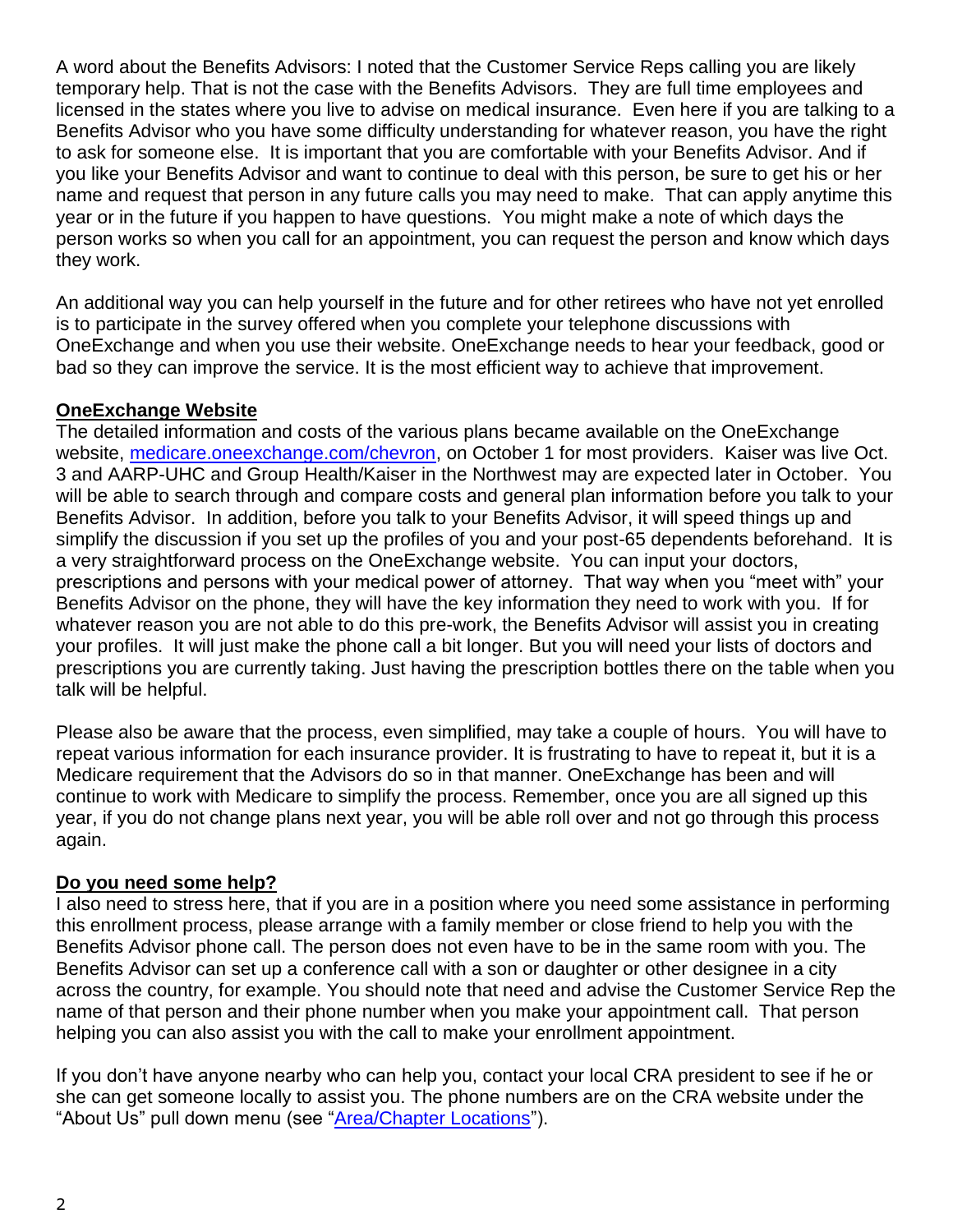A word about the Benefits Advisors: I noted that the Customer Service Reps calling you are likely temporary help. That is not the case with the Benefits Advisors. They are full time employees and licensed in the states where you live to advise on medical insurance. Even here if you are talking to a Benefits Advisor who you have some difficulty understanding for whatever reason, you have the right to ask for someone else. It is important that you are comfortable with your Benefits Advisor. And if you like your Benefits Advisor and want to continue to deal with this person, be sure to get his or her name and request that person in any future calls you may need to make. That can apply anytime this year or in the future if you happen to have questions. You might make a note of which days the person works so when you call for an appointment, you can request the person and know which days they work.

An additional way you can help yourself in the future and for other retirees who have not yet enrolled is to participate in the survey offered when you complete your telephone discussions with OneExchange and when you use their website. OneExchange needs to hear your feedback, good or bad so they can improve the service. It is the most efficient way to achieve that improvement.

### **OneExchange Website**

The detailed information and costs of the various plans became available on the OneExchange website, [medicare.oneexchange.com/chevron,](https://medicare.oneexchange.com/chevron) on October 1 for most providers. Kaiser was live Oct. 3 and AARP-UHC and Group Health/Kaiser in the Northwest may are expected later in October. You will be able to search through and compare costs and general plan information before you talk to your Benefits Advisor. In addition, before you talk to your Benefits Advisor, it will speed things up and simplify the discussion if you set up the profiles of you and your post-65 dependents beforehand. It is a very straightforward process on the OneExchange website. You can input your doctors, prescriptions and persons with your medical power of attorney. That way when you "meet with" your Benefits Advisor on the phone, they will have the key information they need to work with you. If for whatever reason you are not able to do this pre-work, the Benefits Advisor will assist you in creating your profiles. It will just make the phone call a bit longer. But you will need your lists of doctors and prescriptions you are currently taking. Just having the prescription bottles there on the table when you talk will be helpful.

Please also be aware that the process, even simplified, may take a couple of hours. You will have to repeat various information for each insurance provider. It is frustrating to have to repeat it, but it is a Medicare requirement that the Advisors do so in that manner. OneExchange has been and will continue to work with Medicare to simplify the process. Remember, once you are all signed up this year, if you do not change plans next year, you will be able roll over and not go through this process again.

#### **Do you need some help?**

I also need to stress here, that if you are in a position where you need some assistance in performing this enrollment process, please arrange with a family member or close friend to help you with the Benefits Advisor phone call. The person does not even have to be in the same room with you. The Benefits Advisor can set up a conference call with a son or daughter or other designee in a city across the country, for example. You should note that need and advise the Customer Service Rep the name of that person and their phone number when you make your appointment call. That person helping you can also assist you with the call to make your enrollment appointment.

If you don't have anyone nearby who can help you, contact your local CRA president to see if he or she can get someone locally to assist you. The phone numbers are on the CRA website under the "About Us" pull down menu (see ["Area/Chapter Locations"](http://chevronretirees.org/AboutUsGroup/AreaChapterLocations)).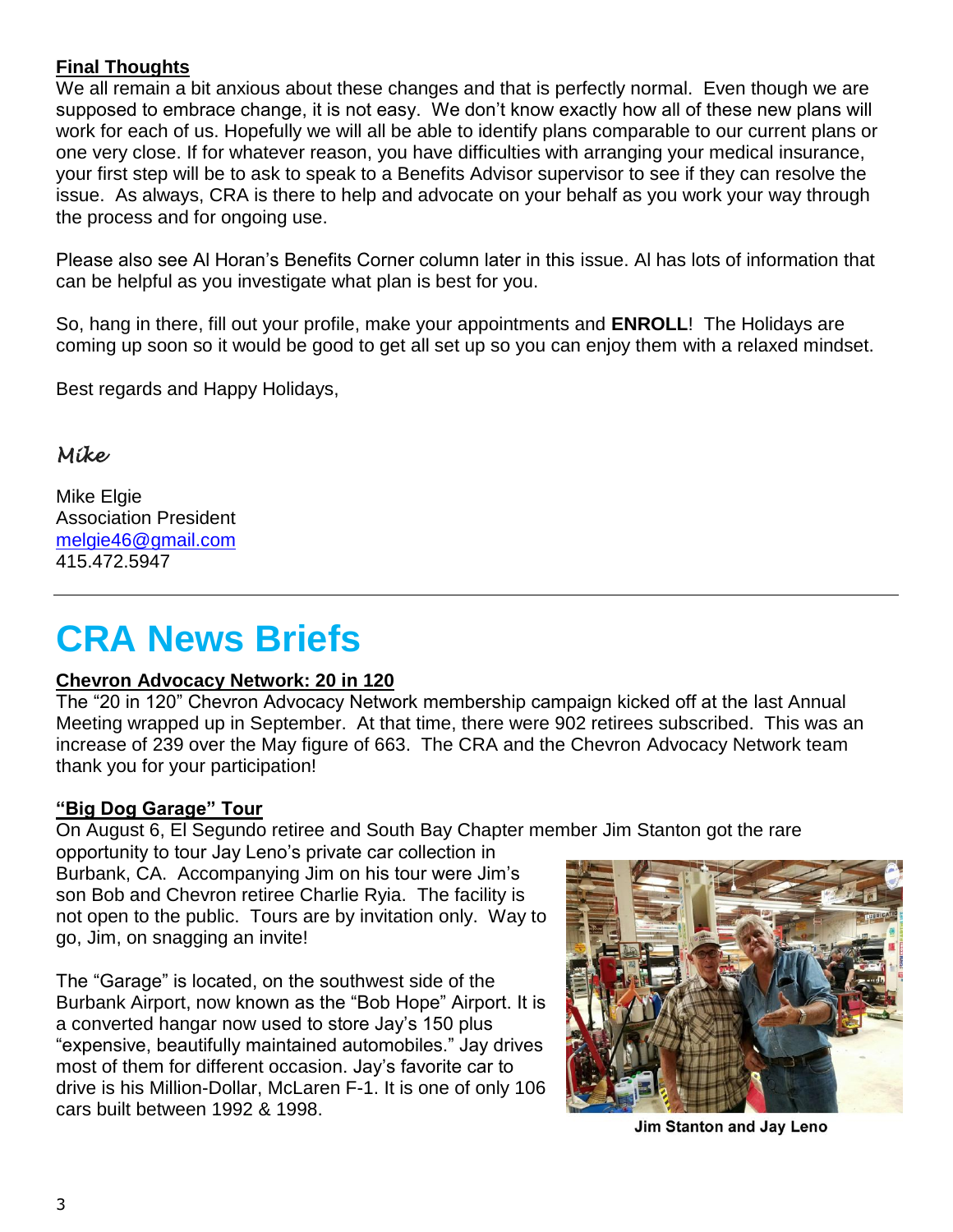## **Final Thoughts**

We all remain a bit anxious about these changes and that is perfectly normal. Even though we are supposed to embrace change, it is not easy. We don't know exactly how all of these new plans will work for each of us. Hopefully we will all be able to identify plans comparable to our current plans or one very close. If for whatever reason, you have difficulties with arranging your medical insurance, your first step will be to ask to speak to a Benefits Advisor supervisor to see if they can resolve the issue. As always, CRA is there to help and advocate on your behalf as you work your way through the process and for ongoing use.

Please also see Al Horan's Benefits Corner column later in this issue. Al has lots of information that can be helpful as you investigate what plan is best for you.

So, hang in there, fill out your profile, make your appointments and **ENROLL**! The Holidays are coming up soon so it would be good to get all set up so you can enjoy them with a relaxed mindset.

Best regards and Happy Holidays,

## *Mike*

Mike Elgie Association President [melgie46@gmail.com](mailto:melgie46@gmail.com) 415.472.5947

## **CRA News Briefs**

#### **Chevron Advocacy Network: 20 in 120**

The "20 in 120" Chevron Advocacy Network membership campaign kicked off at the last Annual Meeting wrapped up in September. At that time, there were 902 retirees subscribed. This was an increase of 239 over the May figure of 663. The CRA and the Chevron Advocacy Network team thank you for your participation!

## **"Big Dog Garage" Tour**

On August 6, El Segundo retiree and South Bay Chapter member Jim Stanton got the rare

opportunity to tour Jay Leno's private car collection in Burbank, CA. Accompanying Jim on his tour were Jim's son Bob and Chevron retiree Charlie Ryia. The facility is not open to the public. Tours are by invitation only. Way to go, Jim, on snagging an invite!

The "Garage" is located, on the southwest side of the Burbank Airport, now known as the "Bob Hope" Airport. It is a converted hangar now used to store Jay's 150 plus "expensive, beautifully maintained automobiles." Jay drives most of them for different occasion. Jay's favorite car to drive is his Million-Dollar, McLaren F-1. It is one of only 106 cars built between 1992 & 1998.



**Jim Stanton and Jay Leno**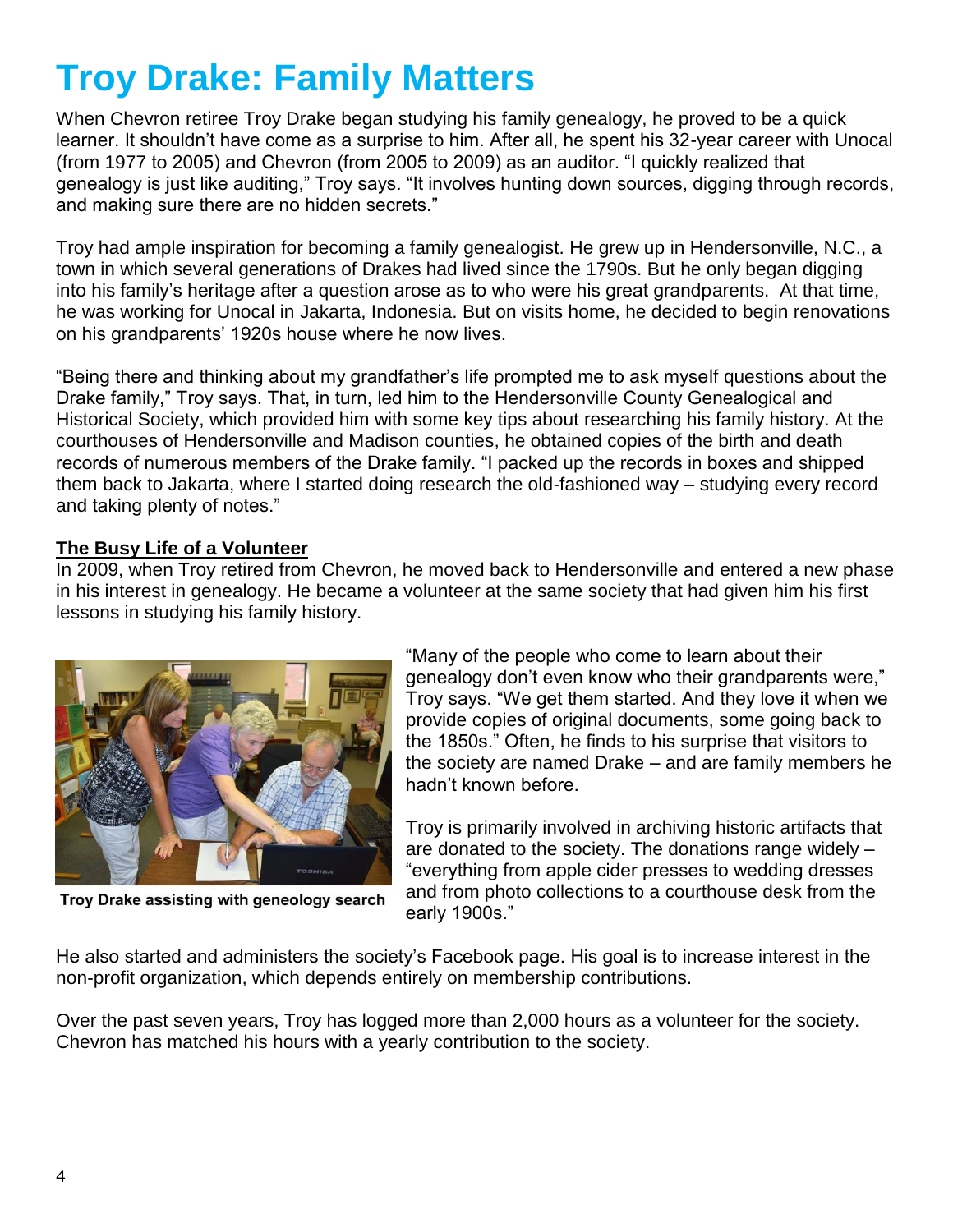# **Troy Drake: Family Matters**

When Chevron retiree Troy Drake began studying his family genealogy, he proved to be a quick learner. It shouldn't have come as a surprise to him. After all, he spent his 32-year career with Unocal (from 1977 to 2005) and Chevron (from 2005 to 2009) as an auditor. "I quickly realized that genealogy is just like auditing," Troy says. "It involves hunting down sources, digging through records, and making sure there are no hidden secrets."

Troy had ample inspiration for becoming a family genealogist. He grew up in Hendersonville, N.C., a town in which several generations of Drakes had lived since the 1790s. But he only began digging into his family's heritage after a question arose as to who were his great grandparents. At that time, he was working for Unocal in Jakarta, Indonesia. But on visits home, he decided to begin renovations on his grandparents' 1920s house where he now lives.

"Being there and thinking about my grandfather's life prompted me to ask myself questions about the Drake family," Troy says. That, in turn, led him to the Hendersonville County Genealogical and Historical Society, which provided him with some key tips about researching his family history. At the courthouses of Hendersonville and Madison counties, he obtained copies of the birth and death records of numerous members of the Drake family. "I packed up the records in boxes and shipped them back to Jakarta, where I started doing research the old-fashioned way – studying every record and taking plenty of notes."

### **The Busy Life of a Volunteer**

In 2009, when Troy retired from Chevron, he moved back to Hendersonville and entered a new phase in his interest in genealogy. He became a volunteer at the same society that had given him his first lessons in studying his family history.



"Many of the people who come to learn about their genealogy don't even know who their grandparents were," Troy says. "We get them started. And they love it when we provide copies of original documents, some going back to the 1850s." Often, he finds to his surprise that visitors to the society are named Drake – and are family members he hadn't known before.

Troy is primarily involved in archiving historic artifacts that are donated to the society. The donations range widely – "everything from apple cider presses to wedding dresses and from photo collections to a courthouse desk from the early 1900s."

Troy Drake assisting with geneology search

He also started and administers the society's Facebook page. His goal is to increase interest in the non-profit organization, which depends entirely on membership contributions.

Over the past seven years, Troy has logged more than 2,000 hours as a volunteer for the society. Chevron has matched his hours with a yearly contribution to the society.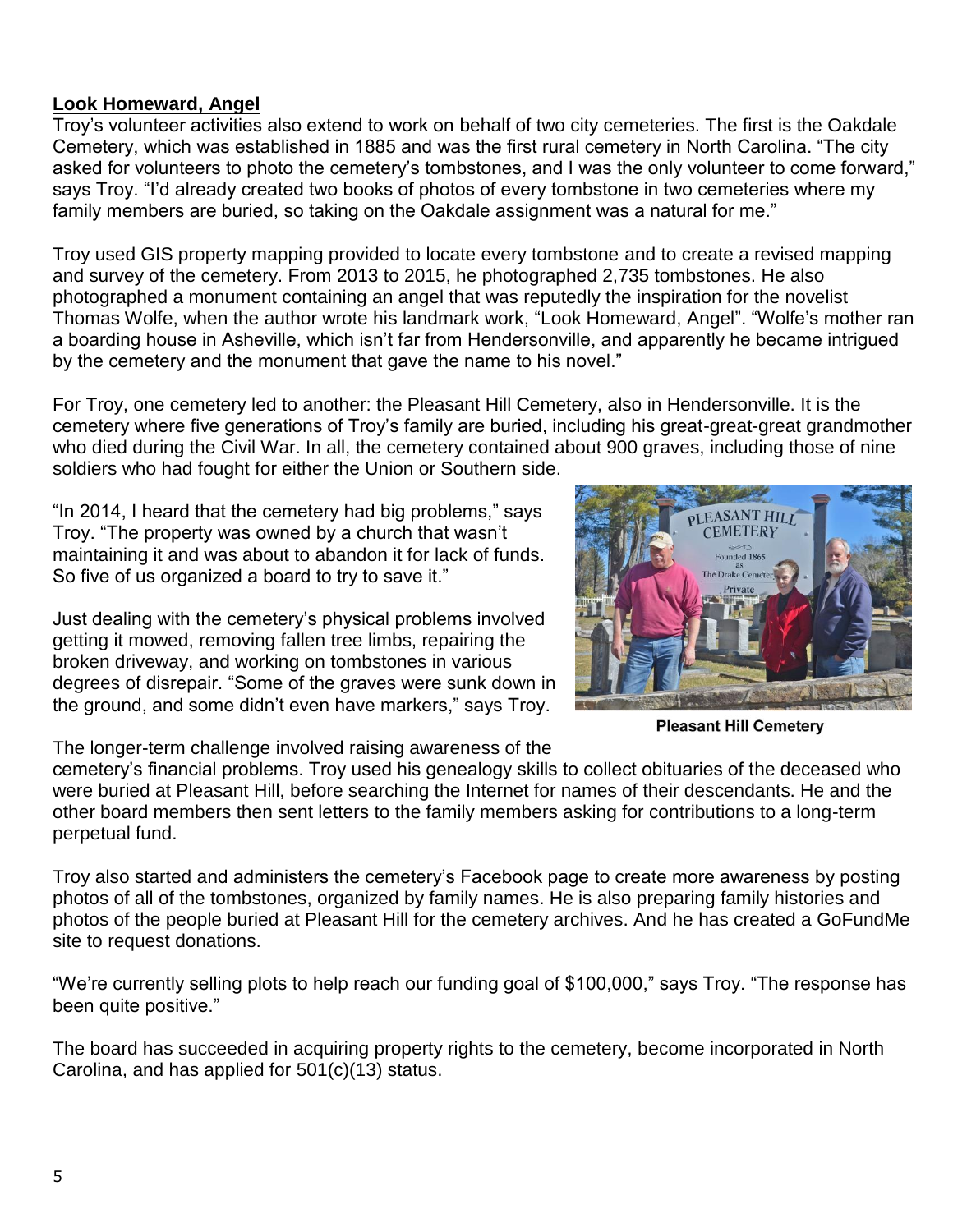### **Look Homeward, Angel**

Troy's volunteer activities also extend to work on behalf of two city cemeteries. The first is the Oakdale Cemetery, which was established in 1885 and was the first rural cemetery in North Carolina. "The city asked for volunteers to photo the cemetery's tombstones, and I was the only volunteer to come forward," says Troy. "I'd already created two books of photos of every tombstone in two cemeteries where my family members are buried, so taking on the Oakdale assignment was a natural for me."

Troy used GIS property mapping provided to locate every tombstone and to create a revised mapping and survey of the cemetery. From 2013 to 2015, he photographed 2,735 tombstones. He also photographed a monument containing an angel that was reputedly the inspiration for the novelist Thomas Wolfe, when the author wrote his landmark work, "Look Homeward, Angel". "Wolfe's mother ran a boarding house in Asheville, which isn't far from Hendersonville, and apparently he became intrigued by the cemetery and the monument that gave the name to his novel."

For Troy, one cemetery led to another: the Pleasant Hill Cemetery, also in Hendersonville. It is the cemetery where five generations of Troy's family are buried, including his great-great-great grandmother who died during the Civil War. In all, the cemetery contained about 900 graves, including those of nine soldiers who had fought for either the Union or Southern side.

"In 2014, I heard that the cemetery had big problems," says Troy. "The property was owned by a church that wasn't maintaining it and was about to abandon it for lack of funds. So five of us organized a board to try to save it."

Just dealing with the cemetery's physical problems involved getting it mowed, removing fallen tree limbs, repairing the broken driveway, and working on tombstones in various degrees of disrepair. "Some of the graves were sunk down in the ground, and some didn't even have markers," says Troy.

The longer-term challenge involved raising awareness of the

cemetery's financial problems. Troy used his genealogy skills to collect obituaries of the deceased who were buried at Pleasant Hill, before searching the Internet for names of their descendants. He and the other board members then sent letters to the family members asking for contributions to a long-term perpetual fund.

Troy also started and administers the cemetery's Facebook page to create more awareness by posting photos of all of the tombstones, organized by family names. He is also preparing family histories and photos of the people buried at Pleasant Hill for the cemetery archives. And he has created a GoFundMe site to request donations.

"We're currently selling plots to help reach our funding goal of \$100,000," says Troy. "The response has been quite positive."

The board has succeeded in acquiring property rights to the cemetery, become incorporated in North Carolina, and has applied for 501(c)(13) status.

**Pleasant Hill Cemetery** 

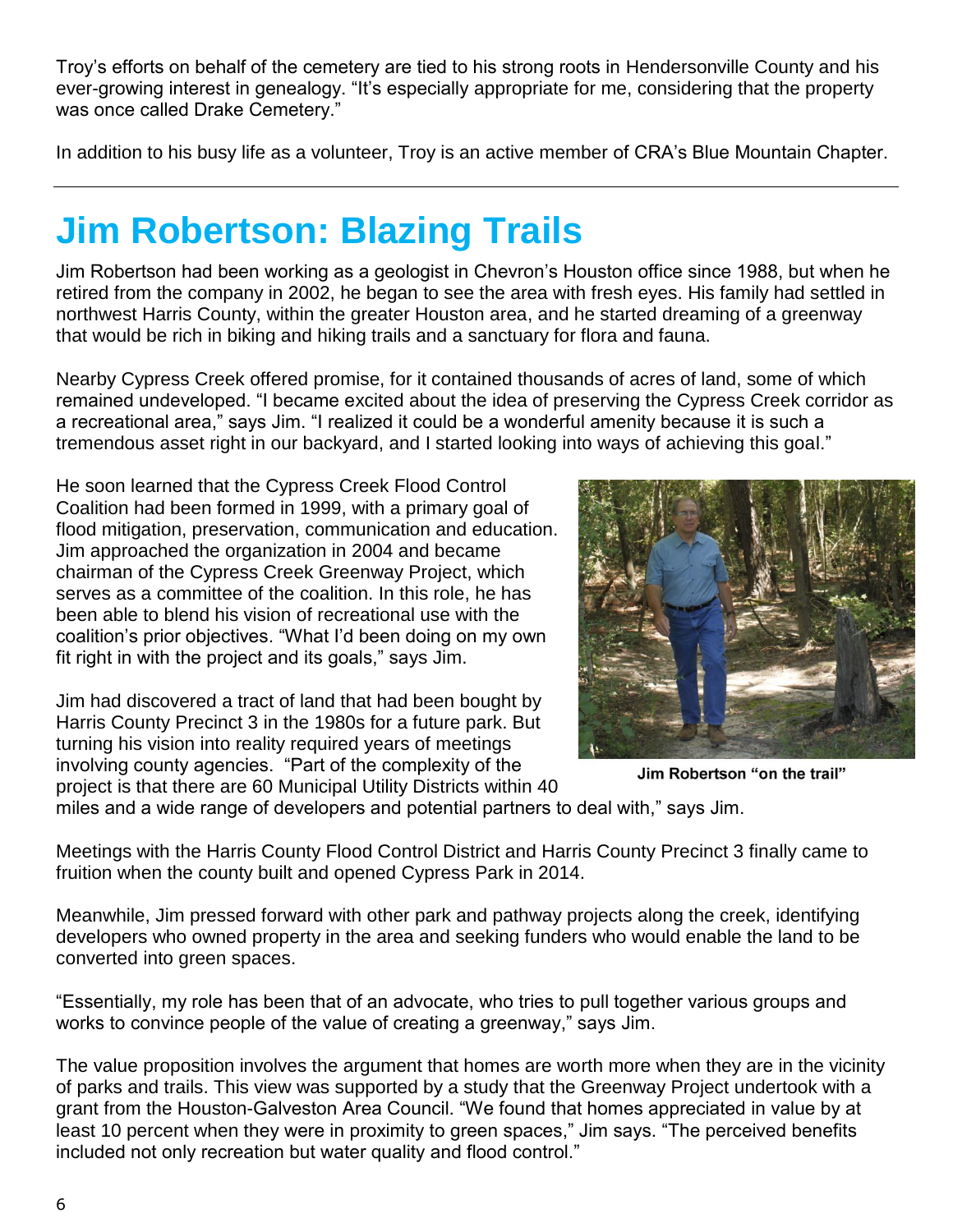Troy's efforts on behalf of the cemetery are tied to his strong roots in Hendersonville County and his ever-growing interest in genealogy. "It's especially appropriate for me, considering that the property was once called Drake Cemetery."

In addition to his busy life as a volunteer, Troy is an active member of CRA's Blue Mountain Chapter.

# **Jim Robertson: Blazing Trails**

Jim Robertson had been working as a geologist in Chevron's Houston office since 1988, but when he retired from the company in 2002, he began to see the area with fresh eyes. His family had settled in northwest Harris County, within the greater Houston area, and he started dreaming of a greenway that would be rich in biking and hiking trails and a sanctuary for flora and fauna.

Nearby Cypress Creek offered promise, for it contained thousands of acres of land, some of which remained undeveloped. "I became excited about the idea of preserving the Cypress Creek corridor as a recreational area," says Jim. "I realized it could be a wonderful amenity because it is such a tremendous asset right in our backyard, and I started looking into ways of achieving this goal."

He soon learned that the Cypress Creek Flood Control Coalition had been formed in 1999, with a primary goal of flood mitigation, preservation, communication and education. Jim approached the organization in 2004 and became chairman of the Cypress Creek Greenway Project, which serves as a committee of the coalition. In this role, he has been able to blend his vision of recreational use with the coalition's prior objectives. "What I'd been doing on my own fit right in with the project and its goals," says Jim.

Jim had discovered a tract of land that had been bought by Harris County Precinct 3 in the 1980s for a future park. But turning his vision into reality required years of meetings involving county agencies. "Part of the complexity of the project is that there are 60 Municipal Utility Districts within 40



Jim Robertson "on the trail"

miles and a wide range of developers and potential partners to deal with," says Jim.

Meetings with the Harris County Flood Control District and Harris County Precinct 3 finally came to fruition when the county built and opened Cypress Park in 2014.

Meanwhile, Jim pressed forward with other park and pathway projects along the creek, identifying developers who owned property in the area and seeking funders who would enable the land to be converted into green spaces.

"Essentially, my role has been that of an advocate, who tries to pull together various groups and works to convince people of the value of creating a greenway," says Jim.

The value proposition involves the argument that homes are worth more when they are in the vicinity of parks and trails. This view was supported by a study that the Greenway Project undertook with a grant from the Houston-Galveston Area Council. "We found that homes appreciated in value by at least 10 percent when they were in proximity to green spaces," Jim says. "The perceived benefits included not only recreation but water quality and flood control."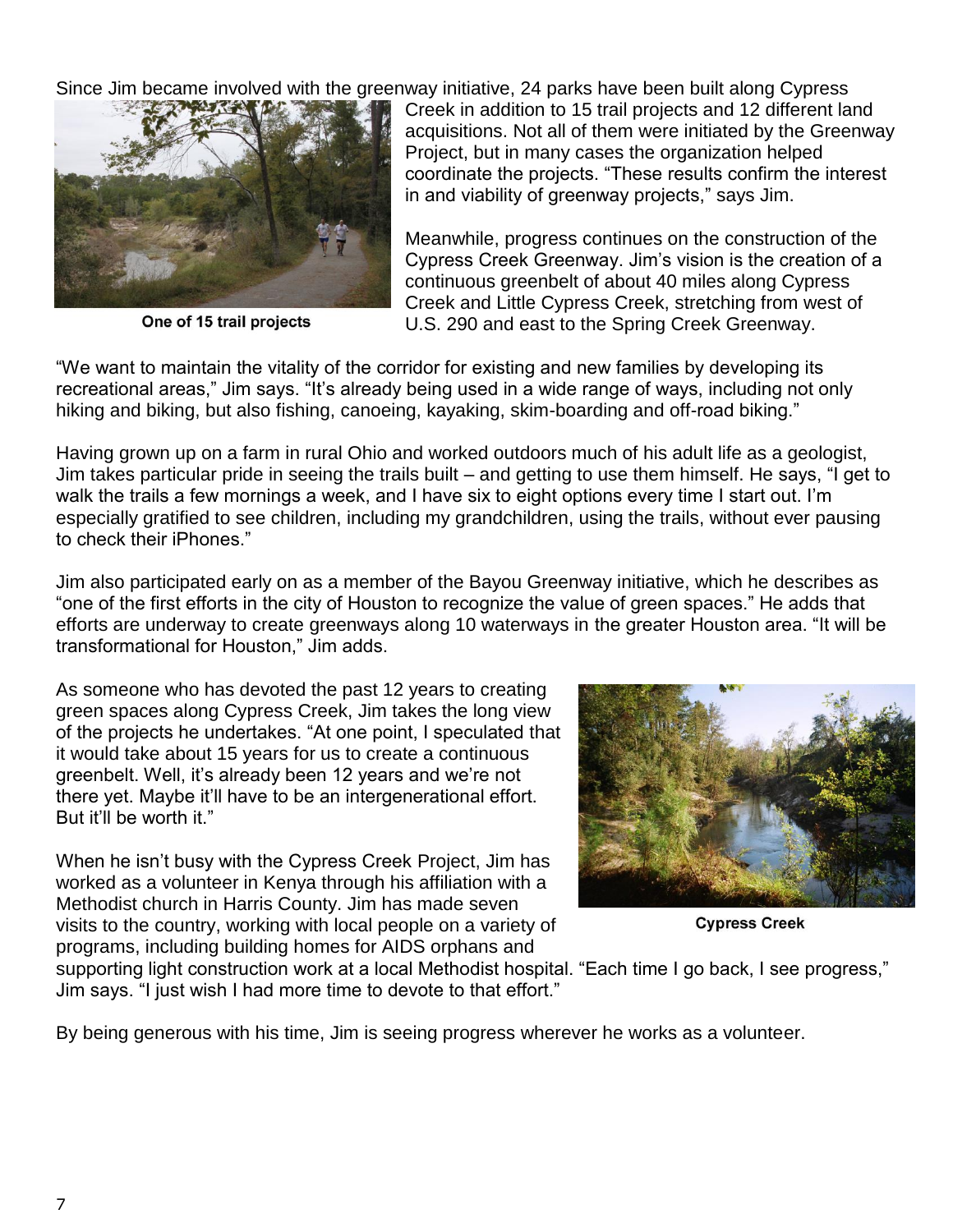Since Jim became involved with the greenway initiative, 24 parks have been built along Cypress



One of 15 trail projects

Creek in addition to 15 trail projects and 12 different land acquisitions. Not all of them were initiated by the Greenway Project, but in many cases the organization helped coordinate the projects. "These results confirm the interest in and viability of greenway projects," says Jim.

Meanwhile, progress continues on the construction of the Cypress Creek Greenway. Jim's vision is the creation of a continuous greenbelt of about 40 miles along Cypress Creek and Little Cypress Creek, stretching from west of U.S. 290 and east to the Spring Creek Greenway.

"We want to maintain the vitality of the corridor for existing and new families by developing its recreational areas," Jim says. "It's already being used in a wide range of ways, including not only hiking and biking, but also fishing, canoeing, kayaking, skim-boarding and off-road biking."

Having grown up on a farm in rural Ohio and worked outdoors much of his adult life as a geologist, Jim takes particular pride in seeing the trails built – and getting to use them himself. He says, "I get to walk the trails a few mornings a week, and I have six to eight options every time I start out. I'm especially gratified to see children, including my grandchildren, using the trails, without ever pausing to check their iPhones."

Jim also participated early on as a member of the Bayou Greenway initiative, which he describes as "one of the first efforts in the city of Houston to recognize the value of green spaces." He adds that efforts are underway to create greenways along 10 waterways in the greater Houston area. "It will be transformational for Houston," Jim adds.

As someone who has devoted the past 12 years to creating green spaces along Cypress Creek, Jim takes the long view of the projects he undertakes. "At one point, I speculated that it would take about 15 years for us to create a continuous greenbelt. Well, it's already been 12 years and we're not there yet. Maybe it'll have to be an intergenerational effort. But it'll be worth it."

When he isn't busy with the Cypress Creek Project, Jim has worked as a volunteer in Kenya through his affiliation with a Methodist church in Harris County. Jim has made seven visits to the country, working with local people on a variety of programs, including building homes for AIDS orphans and



**Cypress Creek** 

supporting light construction work at a local Methodist hospital. "Each time I go back, I see progress," Jim says. "I just wish I had more time to devote to that effort."

By being generous with his time, Jim is seeing progress wherever he works as a volunteer.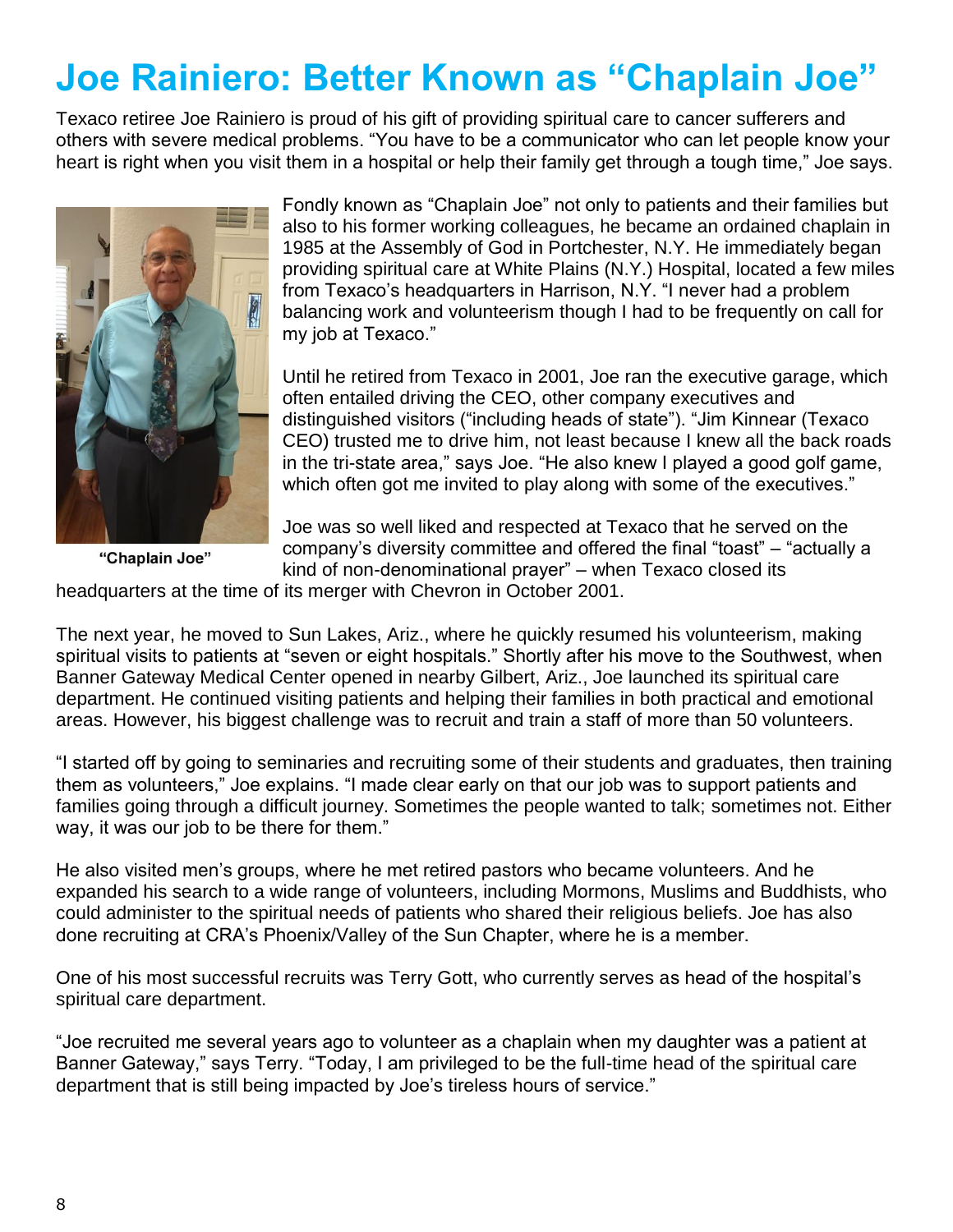## **Joe Rainiero: Better Known as "Chaplain Joe"**

Texaco retiree Joe Rainiero is proud of his gift of providing spiritual care to cancer sufferers and others with severe medical problems. "You have to be a communicator who can let people know your heart is right when you visit them in a hospital or help their family get through a tough time," Joe says.



Fondly known as "Chaplain Joe" not only to patients and their families but also to his former working colleagues, he became an ordained chaplain in 1985 at the Assembly of God in Portchester, N.Y. He immediately began providing spiritual care at White Plains (N.Y.) Hospital, located a few miles from Texaco's headquarters in Harrison, N.Y. "I never had a problem balancing work and volunteerism though I had to be frequently on call for my job at Texaco."

Until he retired from Texaco in 2001, Joe ran the executive garage, which often entailed driving the CEO, other company executives and distinguished visitors ("including heads of state"). "Jim Kinnear (Texaco CEO) trusted me to drive him, not least because I knew all the back roads in the tri-state area," says Joe. "He also knew I played a good golf game, which often got me invited to play along with some of the executives."

"Chaplain Joe"

Joe was so well liked and respected at Texaco that he served on the company's diversity committee and offered the final "toast" – "actually a kind of non-denominational prayer" – when Texaco closed its

headquarters at the time of its merger with Chevron in October 2001.

The next year, he moved to Sun Lakes, Ariz., where he quickly resumed his volunteerism, making spiritual visits to patients at "seven or eight hospitals." Shortly after his move to the Southwest, when Banner Gateway Medical Center opened in nearby Gilbert, Ariz., Joe launched its spiritual care department. He continued visiting patients and helping their families in both practical and emotional areas. However, his biggest challenge was to recruit and train a staff of more than 50 volunteers.

"I started off by going to seminaries and recruiting some of their students and graduates, then training them as volunteers," Joe explains. "I made clear early on that our job was to support patients and families going through a difficult journey. Sometimes the people wanted to talk; sometimes not. Either way, it was our job to be there for them."

He also visited men's groups, where he met retired pastors who became volunteers. And he expanded his search to a wide range of volunteers, including Mormons, Muslims and Buddhists, who could administer to the spiritual needs of patients who shared their religious beliefs. Joe has also done recruiting at CRA's Phoenix/Valley of the Sun Chapter, where he is a member.

One of his most successful recruits was Terry Gott, who currently serves as head of the hospital's spiritual care department.

"Joe recruited me several years ago to volunteer as a chaplain when my daughter was a patient at Banner Gateway," says Terry. "Today, I am privileged to be the full-time head of the spiritual care department that is still being impacted by Joe's tireless hours of service."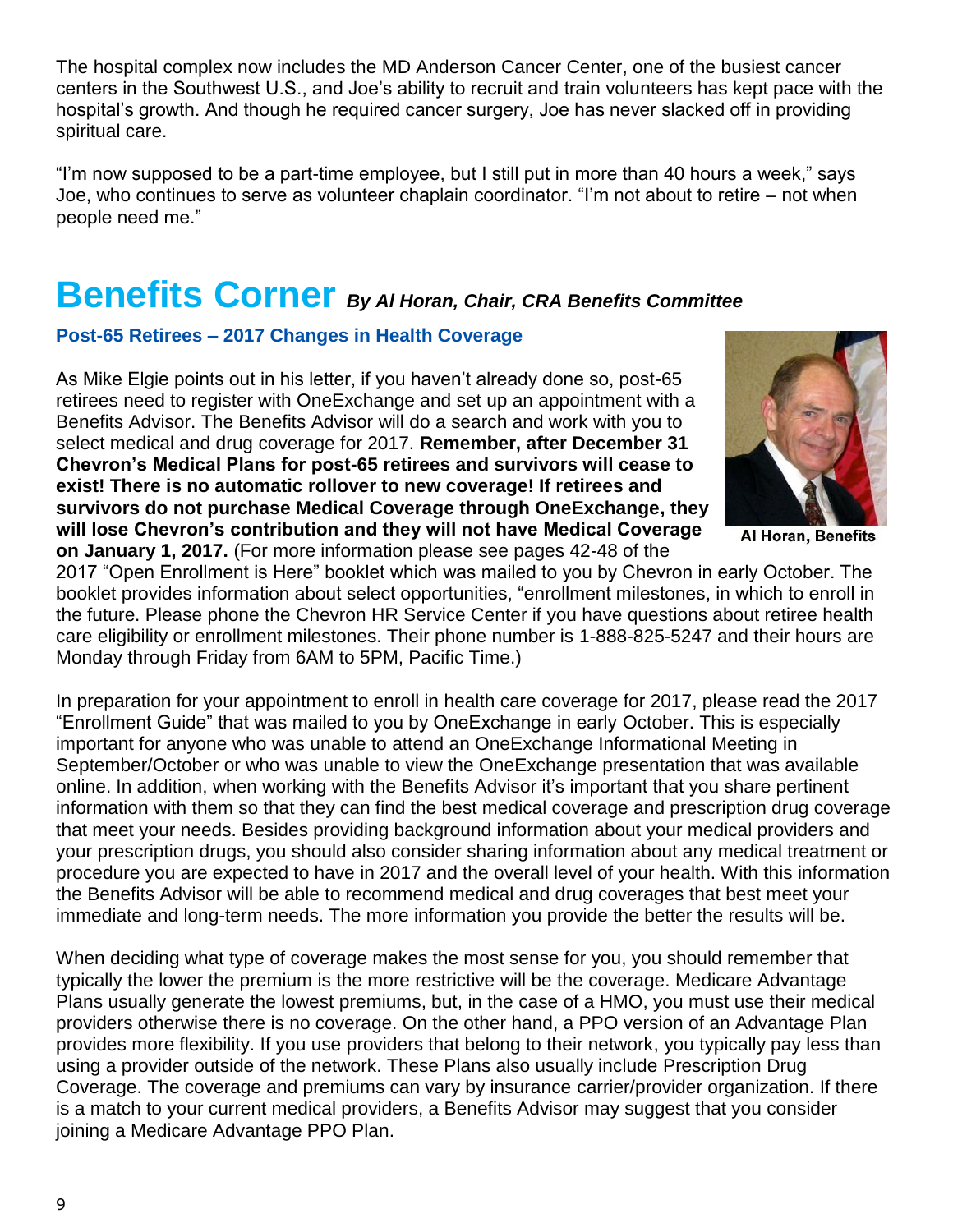The hospital complex now includes the MD Anderson Cancer Center, one of the busiest cancer centers in the Southwest U.S., and Joe's ability to recruit and train volunteers has kept pace with the hospital's growth. And though he required cancer surgery, Joe has never slacked off in providing spiritual care.

"I'm now supposed to be a part-time employee, but I still put in more than 40 hours a week," says Joe, who continues to serve as volunteer chaplain coordinator. "I'm not about to retire – not when people need me."

## **Benefits Corner** *By Al Horan, Chair, CRA Benefits Committee*

## **Post-65 Retirees – 2017 Changes in Health Coverage**

As Mike Elgie points out in his letter, if you haven't already done so, post-65 retirees need to register with OneExchange and set up an appointment with a Benefits Advisor. The Benefits Advisor will do a search and work with you to select medical and drug coverage for 2017. **Remember, after December 31 Chevron's Medical Plans for post-65 retirees and survivors will cease to exist! There is no automatic rollover to new coverage! If retirees and survivors do not purchase Medical Coverage through OneExchange, they will lose Chevron's contribution and they will not have Medical Coverage on January 1, 2017.** (For more information please see pages 42-48 of the



Al Horan, Benefits

2017 "Open Enrollment is Here" booklet which was mailed to you by Chevron in early October. The booklet provides information about select opportunities, "enrollment milestones, in which to enroll in the future. Please phone the Chevron HR Service Center if you have questions about retiree health care eligibility or enrollment milestones. Their phone number is 1-888-825-5247 and their hours are Monday through Friday from 6AM to 5PM, Pacific Time.)

In preparation for your appointment to enroll in health care coverage for 2017, please read the 2017 "Enrollment Guide" that was mailed to you by OneExchange in early October. This is especially important for anyone who was unable to attend an OneExchange Informational Meeting in September/October or who was unable to view the OneExchange presentation that was available online. In addition, when working with the Benefits Advisor it's important that you share pertinent information with them so that they can find the best medical coverage and prescription drug coverage that meet your needs. Besides providing background information about your medical providers and your prescription drugs, you should also consider sharing information about any medical treatment or procedure you are expected to have in 2017 and the overall level of your health. With this information the Benefits Advisor will be able to recommend medical and drug coverages that best meet your immediate and long-term needs. The more information you provide the better the results will be.

When deciding what type of coverage makes the most sense for you, you should remember that typically the lower the premium is the more restrictive will be the coverage. Medicare Advantage Plans usually generate the lowest premiums, but, in the case of a HMO, you must use their medical providers otherwise there is no coverage. On the other hand, a PPO version of an Advantage Plan provides more flexibility. If you use providers that belong to their network, you typically pay less than using a provider outside of the network. These Plans also usually include Prescription Drug Coverage. The coverage and premiums can vary by insurance carrier/provider organization. If there is a match to your current medical providers, a Benefits Advisor may suggest that you consider joining a Medicare Advantage PPO Plan.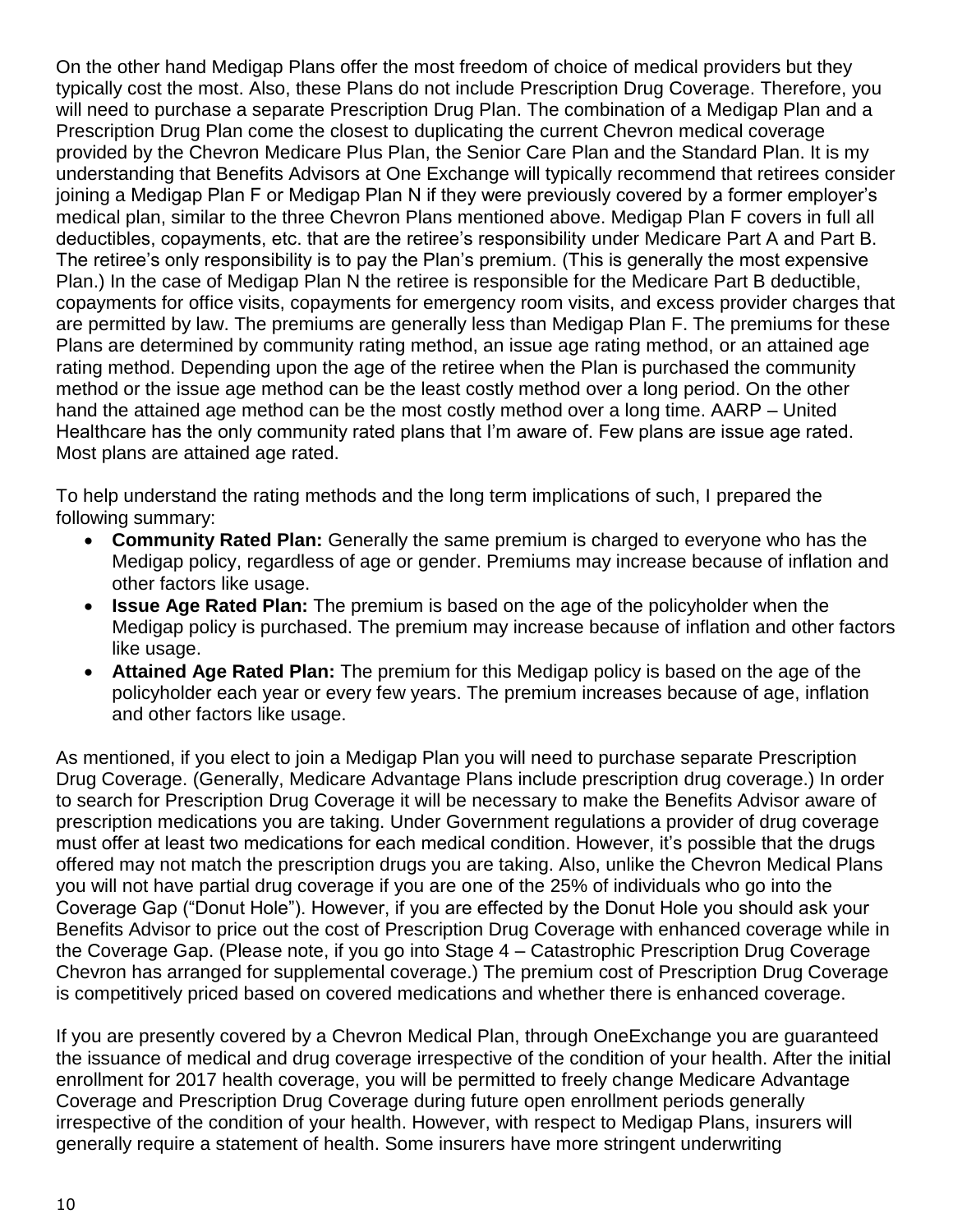On the other hand Medigap Plans offer the most freedom of choice of medical providers but they typically cost the most. Also, these Plans do not include Prescription Drug Coverage. Therefore, you will need to purchase a separate Prescription Drug Plan. The combination of a Medigap Plan and a Prescription Drug Plan come the closest to duplicating the current Chevron medical coverage provided by the Chevron Medicare Plus Plan, the Senior Care Plan and the Standard Plan. It is my understanding that Benefits Advisors at One Exchange will typically recommend that retirees consider joining a Medigap Plan F or Medigap Plan N if they were previously covered by a former employer's medical plan, similar to the three Chevron Plans mentioned above. Medigap Plan F covers in full all deductibles, copayments, etc. that are the retiree's responsibility under Medicare Part A and Part B. The retiree's only responsibility is to pay the Plan's premium. (This is generally the most expensive Plan.) In the case of Medigap Plan N the retiree is responsible for the Medicare Part B deductible, copayments for office visits, copayments for emergency room visits, and excess provider charges that are permitted by law. The premiums are generally less than Medigap Plan F. The premiums for these Plans are determined by community rating method, an issue age rating method, or an attained age rating method. Depending upon the age of the retiree when the Plan is purchased the community method or the issue age method can be the least costly method over a long period. On the other hand the attained age method can be the most costly method over a long time. AARP – United Healthcare has the only community rated plans that I'm aware of. Few plans are issue age rated. Most plans are attained age rated.

To help understand the rating methods and the long term implications of such, I prepared the following summary:

- **Community Rated Plan:** Generally the same premium is charged to everyone who has the Medigap policy, regardless of age or gender. Premiums may increase because of inflation and other factors like usage.
- **Issue Age Rated Plan:** The premium is based on the age of the policyholder when the Medigap policy is purchased. The premium may increase because of inflation and other factors like usage.
- **Attained Age Rated Plan:** The premium for this Medigap policy is based on the age of the policyholder each year or every few years. The premium increases because of age, inflation and other factors like usage.

As mentioned, if you elect to join a Medigap Plan you will need to purchase separate Prescription Drug Coverage. (Generally, Medicare Advantage Plans include prescription drug coverage.) In order to search for Prescription Drug Coverage it will be necessary to make the Benefits Advisor aware of prescription medications you are taking. Under Government regulations a provider of drug coverage must offer at least two medications for each medical condition. However, it's possible that the drugs offered may not match the prescription drugs you are taking. Also, unlike the Chevron Medical Plans you will not have partial drug coverage if you are one of the 25% of individuals who go into the Coverage Gap ("Donut Hole"). However, if you are effected by the Donut Hole you should ask your Benefits Advisor to price out the cost of Prescription Drug Coverage with enhanced coverage while in the Coverage Gap. (Please note, if you go into Stage 4 – Catastrophic Prescription Drug Coverage Chevron has arranged for supplemental coverage.) The premium cost of Prescription Drug Coverage is competitively priced based on covered medications and whether there is enhanced coverage.

If you are presently covered by a Chevron Medical Plan, through OneExchange you are guaranteed the issuance of medical and drug coverage irrespective of the condition of your health. After the initial enrollment for 2017 health coverage, you will be permitted to freely change Medicare Advantage Coverage and Prescription Drug Coverage during future open enrollment periods generally irrespective of the condition of your health. However, with respect to Medigap Plans, insurers will generally require a statement of health. Some insurers have more stringent underwriting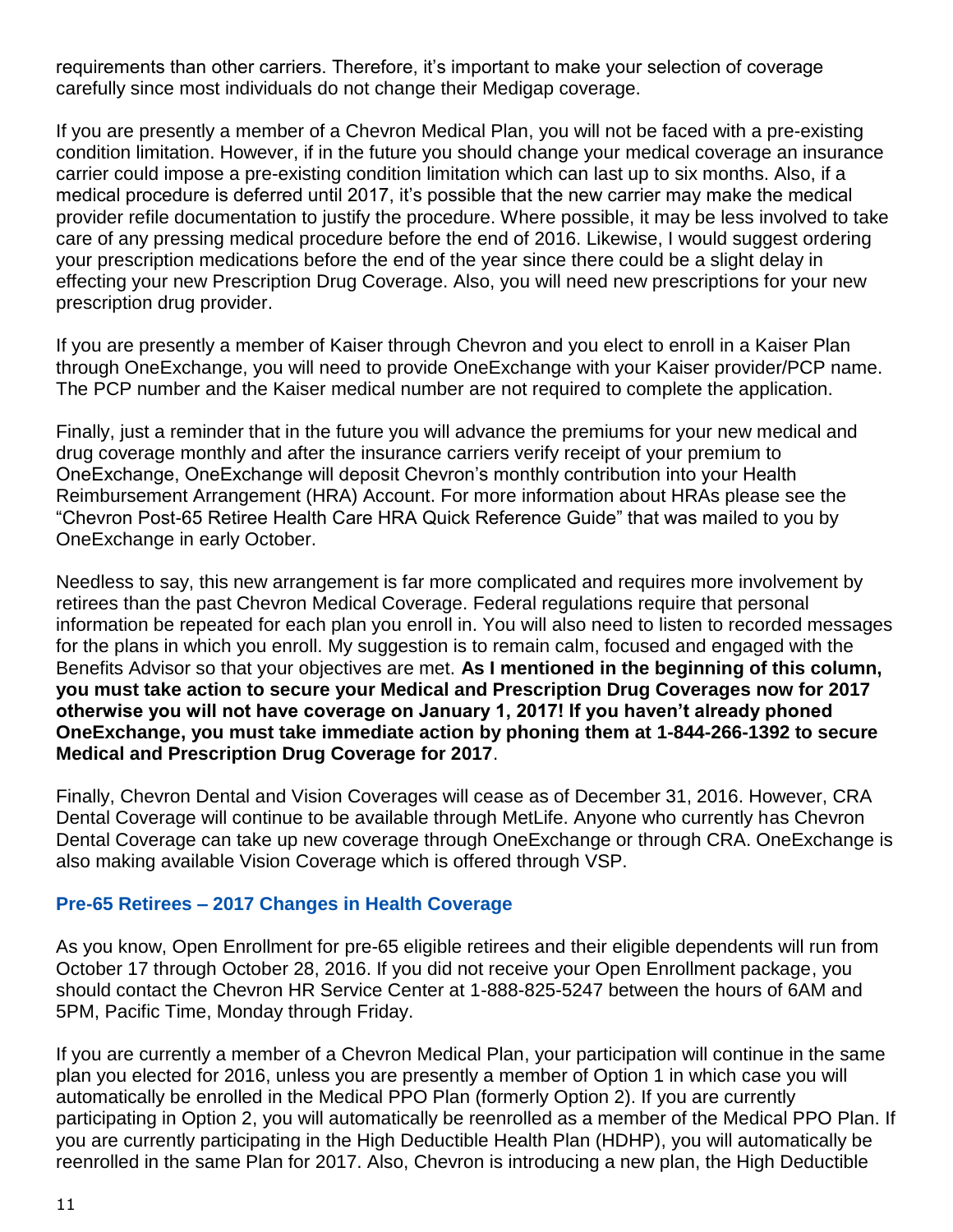requirements than other carriers. Therefore, it's important to make your selection of coverage carefully since most individuals do not change their Medigap coverage.

If you are presently a member of a Chevron Medical Plan, you will not be faced with a pre-existing condition limitation. However, if in the future you should change your medical coverage an insurance carrier could impose a pre-existing condition limitation which can last up to six months. Also, if a medical procedure is deferred until 2017, it's possible that the new carrier may make the medical provider refile documentation to justify the procedure. Where possible, it may be less involved to take care of any pressing medical procedure before the end of 2016. Likewise, I would suggest ordering your prescription medications before the end of the year since there could be a slight delay in effecting your new Prescription Drug Coverage. Also, you will need new prescriptions for your new prescription drug provider.

If you are presently a member of Kaiser through Chevron and you elect to enroll in a Kaiser Plan through OneExchange, you will need to provide OneExchange with your Kaiser provider/PCP name. The PCP number and the Kaiser medical number are not required to complete the application.

Finally, just a reminder that in the future you will advance the premiums for your new medical and drug coverage monthly and after the insurance carriers verify receipt of your premium to OneExchange, OneExchange will deposit Chevron's monthly contribution into your Health Reimbursement Arrangement (HRA) Account. For more information about HRAs please see the "Chevron Post-65 Retiree Health Care HRA Quick Reference Guide" that was mailed to you by OneExchange in early October.

Needless to say, this new arrangement is far more complicated and requires more involvement by retirees than the past Chevron Medical Coverage. Federal regulations require that personal information be repeated for each plan you enroll in. You will also need to listen to recorded messages for the plans in which you enroll. My suggestion is to remain calm, focused and engaged with the Benefits Advisor so that your objectives are met. **As I mentioned in the beginning of this column, you must take action to secure your Medical and Prescription Drug Coverages now for 2017 otherwise you will not have coverage on January 1, 2017! If you haven't already phoned OneExchange, you must take immediate action by phoning them at 1-844-266-1392 to secure Medical and Prescription Drug Coverage for 2017**.

Finally, Chevron Dental and Vision Coverages will cease as of December 31, 2016. However, CRA Dental Coverage will continue to be available through MetLife. Anyone who currently has Chevron Dental Coverage can take up new coverage through OneExchange or through CRA. OneExchange is also making available Vision Coverage which is offered through VSP.

#### **Pre-65 Retirees – 2017 Changes in Health Coverage**

As you know, Open Enrollment for pre-65 eligible retirees and their eligible dependents will run from October 17 through October 28, 2016. If you did not receive your Open Enrollment package, you should contact the Chevron HR Service Center at 1-888-825-5247 between the hours of 6AM and 5PM, Pacific Time, Monday through Friday.

If you are currently a member of a Chevron Medical Plan, your participation will continue in the same plan you elected for 2016, unless you are presently a member of Option 1 in which case you will automatically be enrolled in the Medical PPO Plan (formerly Option 2). If you are currently participating in Option 2, you will automatically be reenrolled as a member of the Medical PPO Plan. If you are currently participating in the High Deductible Health Plan (HDHP), you will automatically be reenrolled in the same Plan for 2017. Also, Chevron is introducing a new plan, the High Deductible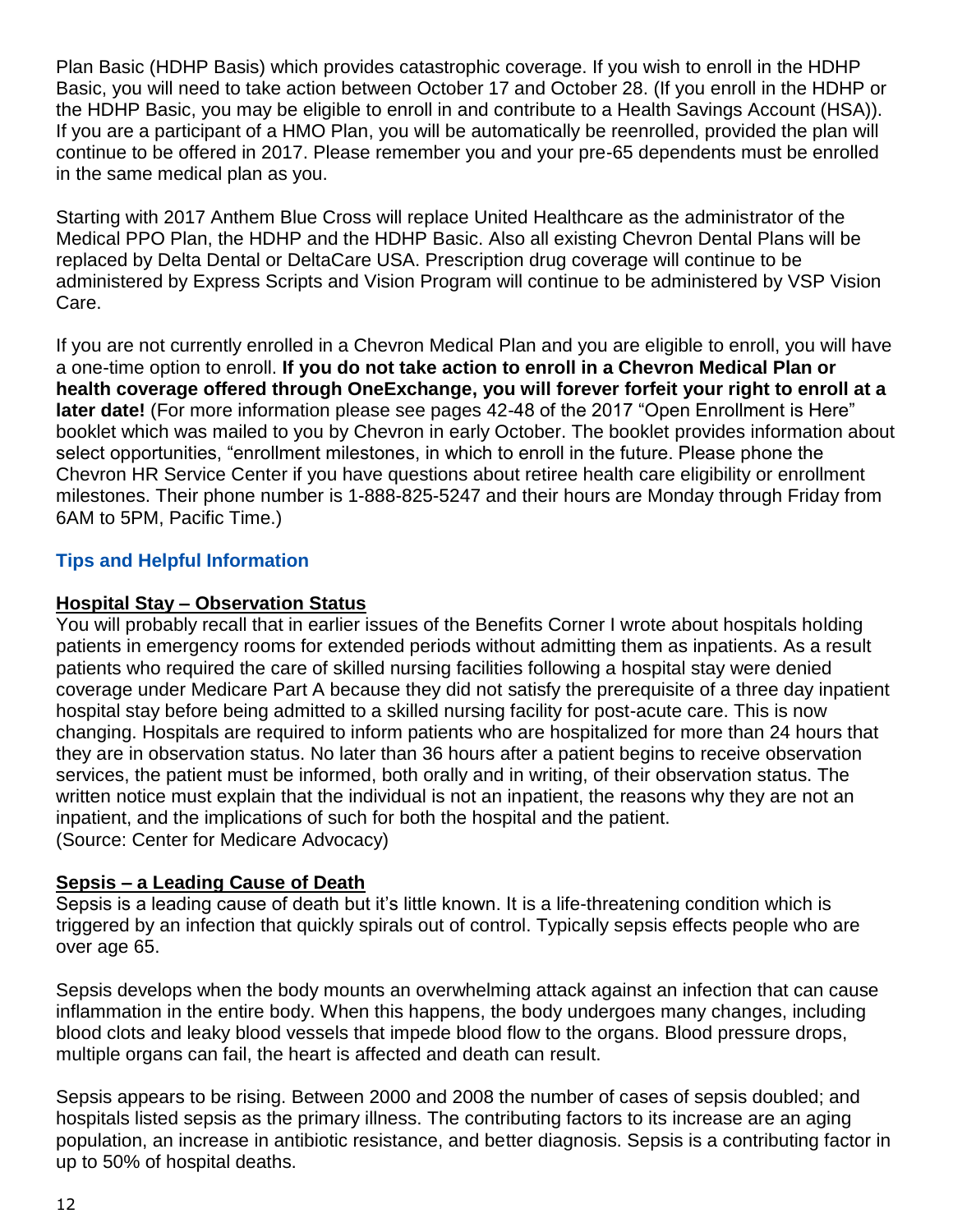Plan Basic (HDHP Basis) which provides catastrophic coverage. If you wish to enroll in the HDHP Basic, you will need to take action between October 17 and October 28. (If you enroll in the HDHP or the HDHP Basic, you may be eligible to enroll in and contribute to a Health Savings Account (HSA)). If you are a participant of a HMO Plan, you will be automatically be reenrolled, provided the plan will continue to be offered in 2017. Please remember you and your pre-65 dependents must be enrolled in the same medical plan as you.

Starting with 2017 Anthem Blue Cross will replace United Healthcare as the administrator of the Medical PPO Plan, the HDHP and the HDHP Basic. Also all existing Chevron Dental Plans will be replaced by Delta Dental or DeltaCare USA. Prescription drug coverage will continue to be administered by Express Scripts and Vision Program will continue to be administered by VSP Vision Care.

If you are not currently enrolled in a Chevron Medical Plan and you are eligible to enroll, you will have a one-time option to enroll. **If you do not take action to enroll in a Chevron Medical Plan or health coverage offered through OneExchange, you will forever forfeit your right to enroll at a later date!** (For more information please see pages 42-48 of the 2017 "Open Enrollment is Here" booklet which was mailed to you by Chevron in early October. The booklet provides information about select opportunities, "enrollment milestones, in which to enroll in the future. Please phone the Chevron HR Service Center if you have questions about retiree health care eligibility or enrollment milestones. Their phone number is 1-888-825-5247 and their hours are Monday through Friday from 6AM to 5PM, Pacific Time.)

## **Tips and Helpful Information**

### **Hospital Stay – Observation Status**

You will probably recall that in earlier issues of the Benefits Corner I wrote about hospitals holding patients in emergency rooms for extended periods without admitting them as inpatients. As a result patients who required the care of skilled nursing facilities following a hospital stay were denied coverage under Medicare Part A because they did not satisfy the prerequisite of a three day inpatient hospital stay before being admitted to a skilled nursing facility for post-acute care. This is now changing. Hospitals are required to inform patients who are hospitalized for more than 24 hours that they are in observation status. No later than 36 hours after a patient begins to receive observation services, the patient must be informed, both orally and in writing, of their observation status. The written notice must explain that the individual is not an inpatient, the reasons why they are not an inpatient, and the implications of such for both the hospital and the patient. (Source: Center for Medicare Advocacy)

#### **Sepsis – a Leading Cause of Death**

Sepsis is a leading cause of death but it's little known. It is a life-threatening condition which is triggered by an infection that quickly spirals out of control. Typically sepsis effects people who are over age 65.

Sepsis develops when the body mounts an overwhelming attack against an infection that can cause inflammation in the entire body. When this happens, the body undergoes many changes, including blood clots and leaky blood vessels that impede blood flow to the organs. Blood pressure drops, multiple organs can fail, the heart is affected and death can result.

Sepsis appears to be rising. Between 2000 and 2008 the number of cases of sepsis doubled; and hospitals listed sepsis as the primary illness. The contributing factors to its increase are an aging population, an increase in antibiotic resistance, and better diagnosis. Sepsis is a contributing factor in up to 50% of hospital deaths.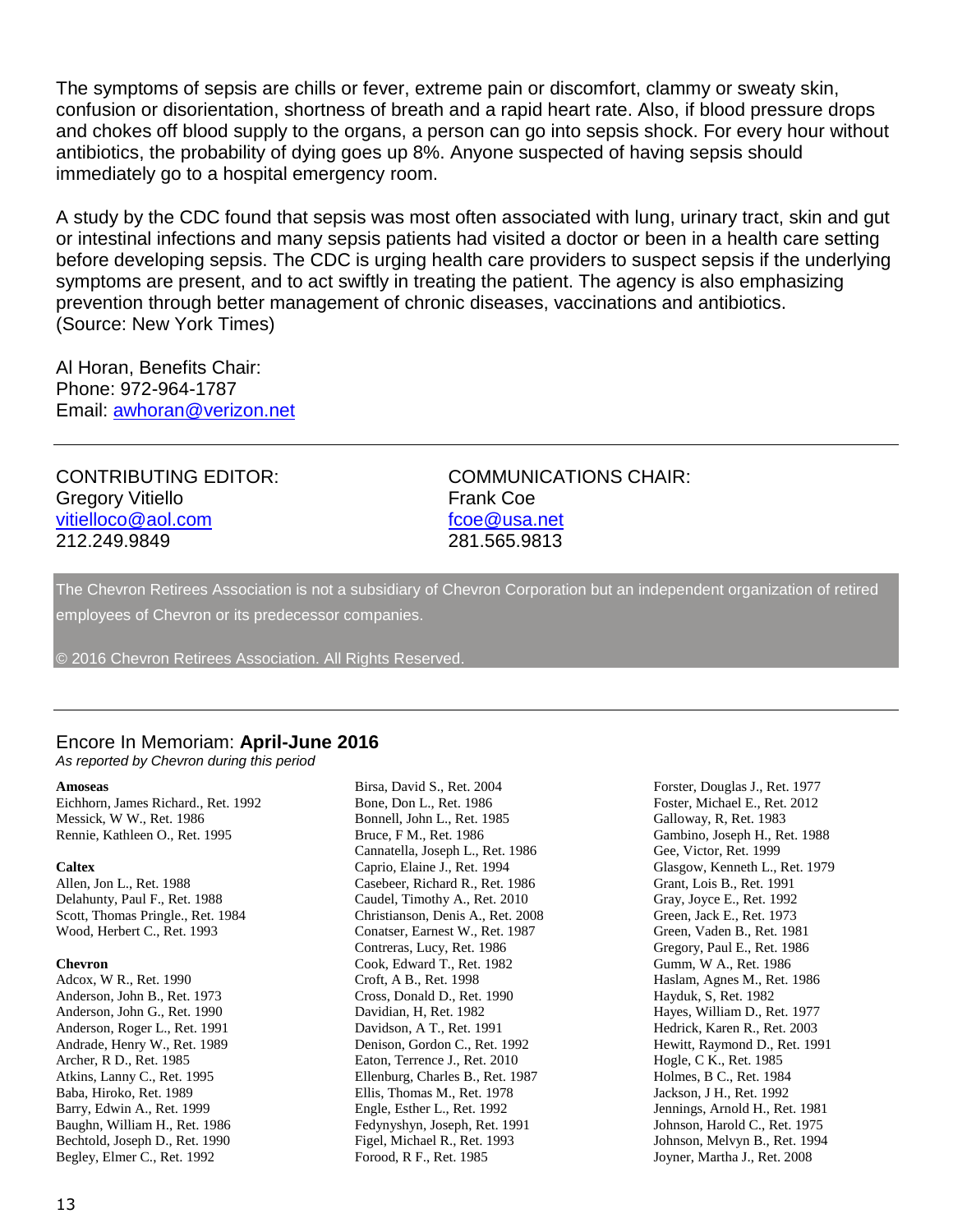The symptoms of sepsis are chills or fever, extreme pain or discomfort, clammy or sweaty skin, confusion or disorientation, shortness of breath and a rapid heart rate. Also, if blood pressure drops and chokes off blood supply to the organs, a person can go into sepsis shock. For every hour without antibiotics, the probability of dying goes up 8%. Anyone suspected of having sepsis should immediately go to a hospital emergency room.

A study by the CDC found that sepsis was most often associated with lung, urinary tract, skin and gut or intestinal infections and many sepsis patients had visited a doctor or been in a health care setting before developing sepsis. The CDC is urging health care providers to suspect sepsis if the underlying symptoms are present, and to act swiftly in treating the patient. The agency is also emphasizing prevention through better management of chronic diseases, vaccinations and antibiotics. (Source: New York Times)

Al Horan, Benefits Chair: Phone: 972-964-1787 Email: [awhoran@verizon.net](mailto:awhoran@verizon.net)

Gregory Vitiello **Frank Coe** [vitielloco@aol.com](mailto:vitielloco@aol.com) [fcoe@usa.net](mailto:fcoe@usa.net) 212.249.9849 281.565.9813

CONTRIBUTING EDITOR: COMMUNICATIONS CHAIR:

The Chevron Retirees Association is not a subsidiary of Chevron Corporation but an independent organization of retired employees of Chevron or its predecessor companies.

© 2016 Chevron Retirees Association. All Rights Reserved.

#### Encore In Memoriam: **April-June 2016**

*As reported by Chevron during this period*

#### **Amoseas**

Eichhorn, James Richard., Ret. 1992 Messick, W W., Ret. 1986 Rennie, Kathleen O., Ret. 1995

#### **Caltex**

Allen, Jon L., Ret. 1988 Delahunty, Paul F., Ret. 1988 Scott, Thomas Pringle., Ret. 1984 Wood, Herbert C., Ret. 1993

#### **Chevron**

Adcox, W R., Ret. 1990 Anderson, John B., Ret. 1973 Anderson, John G., Ret. 1990 Anderson, Roger L., Ret. 1991 Andrade, Henry W., Ret. 1989 Archer, R D., Ret. 1985 Atkins, Lanny C., Ret. 1995 Baba, Hiroko, Ret. 1989 Barry, Edwin A., Ret. 1999 Baughn, William H., Ret. 1986 Bechtold, Joseph D., Ret. 1990 Begley, Elmer C., Ret. 1992

Birsa, David S., Ret. 2004 Bone, Don L., Ret. 1986 Bonnell, John L., Ret. 1985 Bruce, F M., Ret. 1986 Cannatella, Joseph L., Ret. 1986 Caprio, Elaine J., Ret. 1994 Casebeer, Richard R., Ret. 1986 Caudel, Timothy A., Ret. 2010 Christianson, Denis A., Ret. 2008 Conatser, Earnest W., Ret. 1987 Contreras, Lucy, Ret. 1986 Cook, Edward T., Ret. 1982 Croft, A B., Ret. 1998 Cross, Donald D., Ret. 1990 Davidian, H, Ret. 1982 Davidson, A T., Ret. 1991 Denison, Gordon C., Ret. 1992 Eaton, Terrence J., Ret. 2010 Ellenburg, Charles B., Ret. 1987 Ellis, Thomas M., Ret. 1978 Engle, Esther L., Ret. 1992 Fedynyshyn, Joseph, Ret. 1991 Figel, Michael R., Ret. 1993 Forood, R F., Ret. 1985

Forster, Douglas J., Ret. 1977 Foster, Michael E., Ret. 2012 Galloway, R, Ret. 1983 Gambino, Joseph H., Ret. 1988 Gee, Victor, Ret. 1999 Glasgow, Kenneth L., Ret. 1979 Grant, Lois B., Ret. 1991 Gray, Joyce E., Ret. 1992 Green, Jack E., Ret. 1973 Green, Vaden B., Ret. 1981 Gregory, Paul E., Ret. 1986 Gumm, W A., Ret. 1986 Haslam, Agnes M., Ret. 1986 Hayduk, S, Ret. 1982 Hayes, William D., Ret. 1977 Hedrick, Karen R., Ret. 2003 Hewitt, Raymond D., Ret. 1991 Hogle, C K., Ret. 1985 Holmes, B C., Ret. 1984 Jackson, J H., Ret. 1992 Jennings, Arnold H., Ret. 1981 Johnson, Harold C., Ret. 1975 Johnson, Melvyn B., Ret. 1994 Joyner, Martha J., Ret. 2008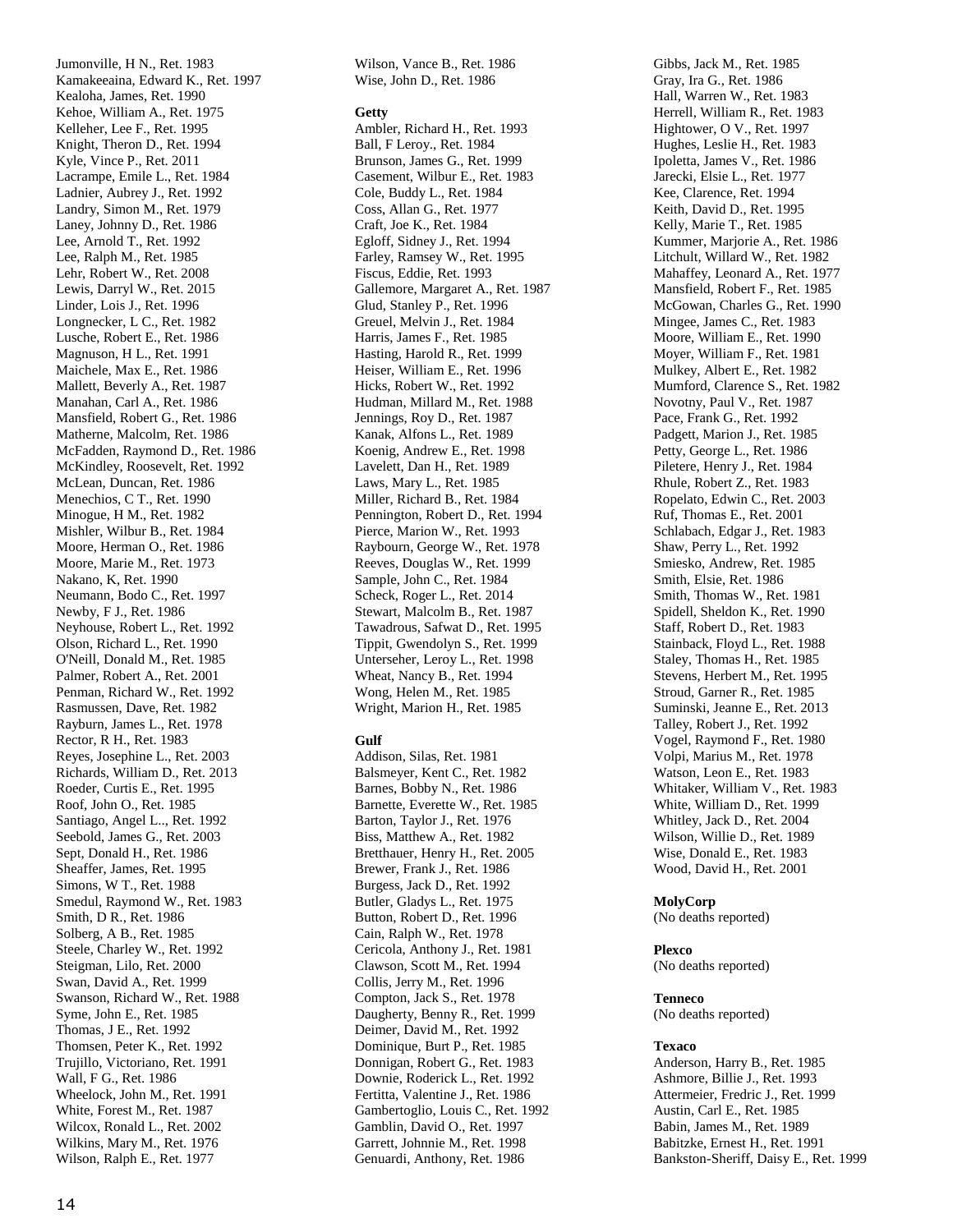Jumonville, H N., Ret. 1983 Kamakeeaina, Edward K., Ret. 1997 Kealoha, James, Ret. 1990 Kehoe, William A., Ret. 1975 Kelleher, Lee F., Ret. 1995 Knight, Theron D., Ret. 1994 Kyle, Vince P., Ret. 2011 Lacrampe, Emile L., Ret. 1984 Ladnier, Aubrey J., Ret. 1992 Landry, Simon M., Ret. 1979 Laney, Johnny D., Ret. 1986 Lee, Arnold T., Ret. 1992 Lee, Ralph M., Ret. 1985 Lehr, Robert W., Ret. 2008 Lewis, Darryl W., Ret. 2015 Linder, Lois J., Ret. 1996 Longnecker, L C., Ret. 1982 Lusche, Robert E., Ret. 1986 Magnuson, H L., Ret. 1991 Maichele, Max E., Ret. 1986 Mallett, Beverly A., Ret. 1987 Manahan, Carl A., Ret. 1986 Mansfield, Robert G., Ret. 1986 Matherne, Malcolm, Ret. 1986 McFadden, Raymond D., Ret. 1986 McKindley, Roosevelt, Ret. 1992 McLean, Duncan, Ret. 1986 Menechios, C T., Ret. 1990 Minogue, H M., Ret. 1982 Mishler, Wilbur B., Ret. 1984 Moore, Herman O., Ret. 1986 Moore, Marie M., Ret. 1973 Nakano, K, Ret. 1990 Neumann, Bodo C., Ret. 1997 Newby, F J., Ret. 1986 Neyhouse, Robert L., Ret. 1992 Olson, Richard L., Ret. 1990 O'Neill, Donald M., Ret. 1985 Palmer, Robert A., Ret. 2001 Penman, Richard W., Ret. 1992 Rasmussen, Dave, Ret. 1982 Rayburn, James L., Ret. 1978 Rector, R H., Ret. 1983 Reyes, Josephine L., Ret. 2003 Richards, William D., Ret. 2013 Roeder, Curtis E., Ret. 1995 Roof, John O., Ret. 1985 Santiago, Angel L.., Ret. 1992 Seebold, James G., Ret. 2003 Sept, Donald H., Ret. 1986 Sheaffer, James, Ret. 1995 Simons, W T., Ret. 1988 Smedul, Raymond W., Ret. 1983 Smith, D R., Ret. 1986 Solberg, A B., Ret. 1985 Steele, Charley W., Ret. 1992 Steigman, Lilo, Ret. 2000 Swan, David A., Ret. 1999 Swanson, Richard W., Ret. 1988 Syme, John E., Ret. 1985 Thomas, J E., Ret. 1992 Thomsen, Peter K., Ret. 1992 Trujillo, Victoriano, Ret. 1991 Wall, F G., Ret. 1986 Wheelock, John M., Ret. 1991 White, Forest M., Ret. 1987 Wilcox, Ronald L., Ret. 2002 Wilkins, Mary M., Ret. 1976 Wilson, Ralph E., Ret. 1977

Wilson, Vance B., Ret. 1986 Wise, John D., Ret. 1986

#### **Getty**

Ambler, Richard H., Ret. 1993 Ball, F Leroy., Ret. 1984 Brunson, James G., Ret. 1999 Casement, Wilbur E., Ret. 1983 Cole, Buddy L., Ret. 1984 Coss, Allan G., Ret. 1977 Craft, Joe K., Ret. 1984 Egloff, Sidney J., Ret. 1994 Farley, Ramsey W., Ret. 1995 Fiscus, Eddie, Ret. 1993 Gallemore, Margaret A., Ret. 1987 Glud, Stanley P., Ret. 1996 Greuel, Melvin J., Ret. 1984 Harris, James F., Ret. 1985 Hasting, Harold R., Ret. 1999 Heiser, William E., Ret. 1996 Hicks, Robert W., Ret. 1992 Hudman, Millard M., Ret. 1988 Jennings, Roy D., Ret. 1987 Kanak, Alfons L., Ret. 1989 Koenig, Andrew E., Ret. 1998 Lavelett, Dan H., Ret. 1989 Laws, Mary L., Ret. 1985 Miller, Richard B., Ret. 1984 Pennington, Robert D., Ret. 1994 Pierce, Marion W., Ret. 1993 Raybourn, George W., Ret. 1978 Reeves, Douglas W., Ret. 1999 Sample, John C., Ret. 1984 Scheck, Roger L., Ret. 2014 Stewart, Malcolm B., Ret. 1987 Tawadrous, Safwat D., Ret. 1995 Tippit, Gwendolyn S., Ret. 1999 Unterseher, Leroy L., Ret. 1998 Wheat, Nancy B., Ret. 1994 Wong, Helen M., Ret. 1985 Wright, Marion H., Ret. 1985

#### **Gulf**

Addison, Silas, Ret. 1981 Balsmeyer, Kent C., Ret. 1982 Barnes, Bobby N., Ret. 1986 Barnette, Everette W., Ret. 1985 Barton, Taylor J., Ret. 1976 Biss, Matthew A., Ret. 1982 Bretthauer, Henry H., Ret. 2005 Brewer, Frank J., Ret. 1986 Burgess, Jack D., Ret. 1992 Butler, Gladys L., Ret. 1975 Button, Robert D., Ret. 1996 Cain, Ralph W., Ret. 1978 Cericola, Anthony J., Ret. 1981 Clawson, Scott M., Ret. 1994 Collis, Jerry M., Ret. 1996 Compton, Jack S., Ret. 1978 Daugherty, Benny R., Ret. 1999 Deimer, David M., Ret. 1992 Dominique, Burt P., Ret. 1985 Donnigan, Robert G., Ret. 1983 Downie, Roderick L., Ret. 1992 Fertitta, Valentine J., Ret. 1986 Gambertoglio, Louis C., Ret. 1992 Gamblin, David O., Ret. 1997 Garrett, Johnnie M., Ret. 1998 Genuardi, Anthony, Ret. 1986

Gibbs, Jack M., Ret. 1985 Gray, Ira G., Ret. 1986 Hall, Warren W., Ret. 1983 Herrell, William R., Ret. 1983 Hightower, O V., Ret. 1997 Hughes, Leslie H., Ret. 1983 Ipoletta, James V., Ret. 1986 Jarecki, Elsie L., Ret. 1977 Kee, Clarence, Ret. 1994 Keith, David D., Ret. 1995 Kelly, Marie T., Ret. 1985 Kummer, Marjorie A., Ret. 1986 Litchult, Willard W., Ret. 1982 Mahaffey, Leonard A., Ret. 1977 Mansfield, Robert F., Ret. 1985 McGowan, Charles G., Ret. 1990 Mingee, James C., Ret. 1983 Moore, William E., Ret. 1990 Moyer, William F., Ret. 1981 Mulkey, Albert E., Ret. 1982 Mumford, Clarence S., Ret. 1982 Novotny, Paul V., Ret. 1987 Pace, Frank G., Ret. 1992 Padgett, Marion J., Ret. 1985 Petty, George L., Ret. 1986 Piletere, Henry J., Ret. 1984 Rhule, Robert Z., Ret. 1983 Ropelato, Edwin C., Ret. 2003 Ruf, Thomas E., Ret. 2001 Schlabach, Edgar J., Ret. 1983 Shaw, Perry L., Ret. 1992 Smiesko, Andrew, Ret. 1985 Smith, Elsie, Ret. 1986 Smith, Thomas W., Ret. 1981 Spidell, Sheldon K., Ret. 1990 Staff, Robert D., Ret. 1983 Stainback, Floyd L., Ret. 1988 Staley, Thomas H., Ret. 1985 Stevens, Herbert M., Ret. 1995 Stroud, Garner R., Ret. 1985 Suminski, Jeanne E., Ret. 2013 Talley, Robert J., Ret. 1992 Vogel, Raymond F., Ret. 1980 Volpi, Marius M., Ret. 1978 Watson, Leon E., Ret. 1983 Whitaker, William V., Ret. 1983 White, William D., Ret. 1999 Whitley, Jack D., Ret. 2004 Wilson, Willie D., Ret. 1989 Wise, Donald E., Ret. 1983 Wood, David H., Ret. 2001

#### **MolyCorp**

(No deaths reported)

#### **Plexco**

(No deaths reported)

#### **Tenneco**

(No deaths reported)

#### **Texaco**

Anderson, Harry B., Ret. 1985 Ashmore, Billie J., Ret. 1993 Attermeier, Fredric J., Ret. 1999 Austin, Carl E., Ret. 1985 Babin, James M., Ret. 1989 Babitzke, Ernest H., Ret. 1991 Bankston-Sheriff, Daisy E., Ret. 1999